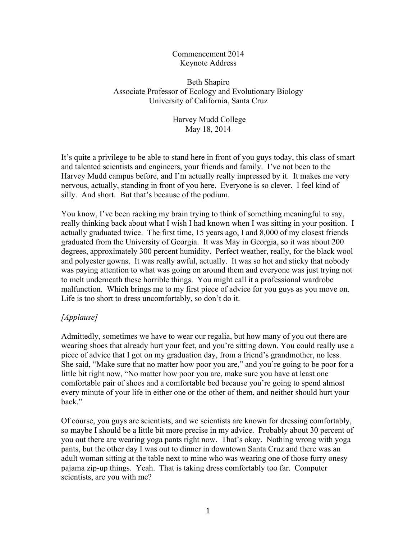#### Commencement 2014 Keynote Address

# Beth Shapiro Associate Professor of Ecology and Evolutionary Biology University of California, Santa Cruz

# Harvey Mudd College May 18, 2014

It's quite a privilege to be able to stand here in front of you guys today, this class of smart and talented scientists and engineers, your friends and family. I've not been to the Harvey Mudd campus before, and I'm actually really impressed by it. It makes me very nervous, actually, standing in front of you here. Everyone is so clever. I feel kind of silly. And short. But that's because of the podium.

You know, I've been racking my brain trying to think of something meaningful to say, really thinking back about what I wish I had known when I was sitting in your position. I actually graduated twice. The first time, 15 years ago, I and 8,000 of my closest friends graduated from the University of Georgia. It was May in Georgia, so it was about 200 degrees, approximately 300 percent humidity. Perfect weather, really, for the black wool and polyester gowns. It was really awful, actually. It was so hot and sticky that nobody was paying attention to what was going on around them and everyone was just trying not to melt underneath these horrible things. You might call it a professional wardrobe malfunction. Which brings me to my first piece of advice for you guys as you move on. Life is too short to dress uncomfortably, so don't do it.

# *[Applause]*

Admittedly, sometimes we have to wear our regalia, but how many of you out there are wearing shoes that already hurt your feet, and you're sitting down. You could really use a piece of advice that I got on my graduation day, from a friend's grandmother, no less. She said, "Make sure that no matter how poor you are," and you're going to be poor for a little bit right now, "No matter how poor you are, make sure you have at least one comfortable pair of shoes and a comfortable bed because you're going to spend almost every minute of your life in either one or the other of them, and neither should hurt your back."

Of course, you guys are scientists, and we scientists are known for dressing comfortably, so maybe I should be a little bit more precise in my advice. Probably about 30 percent of you out there are wearing yoga pants right now. That's okay. Nothing wrong with yoga pants, but the other day I was out to dinner in downtown Santa Cruz and there was an adult woman sitting at the table next to mine who was wearing one of those furry onesy pajama zip-up things. Yeah. That is taking dress comfortably too far. Computer scientists, are you with me?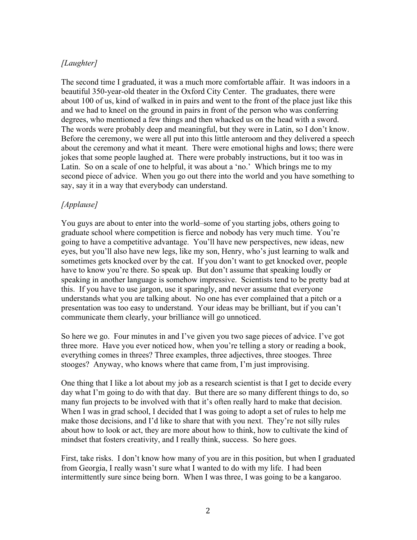# *[Laughter]*

The second time I graduated, it was a much more comfortable affair. It was indoors in a beautiful 350-year-old theater in the Oxford City Center. The graduates, there were about 100 of us, kind of walked in in pairs and went to the front of the place just like this and we had to kneel on the ground in pairs in front of the person who was conferring degrees, who mentioned a few things and then whacked us on the head with a sword. The words were probably deep and meaningful, but they were in Latin, so I don't know. Before the ceremony, we were all put into this little anteroom and they delivered a speech about the ceremony and what it meant. There were emotional highs and lows; there were jokes that some people laughed at. There were probably instructions, but it too was in Latin. So on a scale of one to helpful, it was about a 'no.' Which brings me to my second piece of advice. When you go out there into the world and you have something to say, say it in a way that everybody can understand.

# *[Applause]*

You guys are about to enter into the world–some of you starting jobs, others going to graduate school where competition is fierce and nobody has very much time. You're going to have a competitive advantage. You'll have new perspectives, new ideas, new eyes, but you'll also have new legs, like my son, Henry, who's just learning to walk and sometimes gets knocked over by the cat. If you don't want to get knocked over, people have to know you're there. So speak up. But don't assume that speaking loudly or speaking in another language is somehow impressive. Scientists tend to be pretty bad at this. If you have to use jargon, use it sparingly, and never assume that everyone understands what you are talking about. No one has ever complained that a pitch or a presentation was too easy to understand. Your ideas may be brilliant, but if you can't communicate them clearly, your brilliance will go unnoticed.

So here we go. Four minutes in and I've given you two sage pieces of advice. I've got three more. Have you ever noticed how, when you're telling a story or reading a book, everything comes in threes? Three examples, three adjectives, three stooges. Three stooges? Anyway, who knows where that came from, I'm just improvising.

One thing that I like a lot about my job as a research scientist is that I get to decide every day what I'm going to do with that day. But there are so many different things to do, so many fun projects to be involved with that it's often really hard to make that decision. When I was in grad school, I decided that I was going to adopt a set of rules to help me make those decisions, and I'd like to share that with you next. They're not silly rules about how to look or act, they are more about how to think, how to cultivate the kind of mindset that fosters creativity, and I really think, success. So here goes.

First, take risks. I don't know how many of you are in this position, but when I graduated from Georgia, I really wasn't sure what I wanted to do with my life. I had been intermittently sure since being born. When I was three, I was going to be a kangaroo.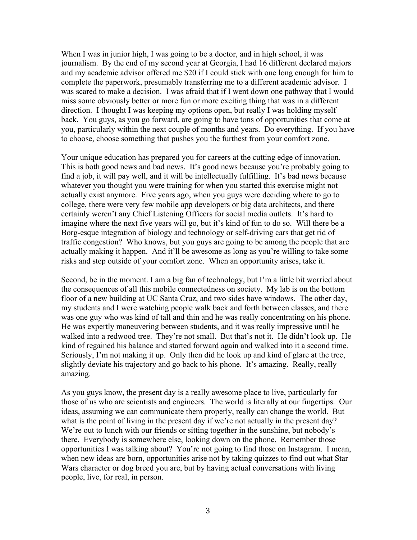When I was in junior high, I was going to be a doctor, and in high school, it was journalism. By the end of my second year at Georgia, I had 16 different declared majors and my academic advisor offered me \$20 if I could stick with one long enough for him to complete the paperwork, presumably transferring me to a different academic advisor. I was scared to make a decision. I was afraid that if I went down one pathway that I would miss some obviously better or more fun or more exciting thing that was in a different direction. I thought I was keeping my options open, but really I was holding myself back. You guys, as you go forward, are going to have tons of opportunities that come at you, particularly within the next couple of months and years. Do everything. If you have to choose, choose something that pushes you the furthest from your comfort zone.

Your unique education has prepared you for careers at the cutting edge of innovation. This is both good news and bad news. It's good news because you're probably going to find a job, it will pay well, and it will be intellectually fulfilling. It's bad news because whatever you thought you were training for when you started this exercise might not actually exist anymore. Five years ago, when you guys were deciding where to go to college, there were very few mobile app developers or big data architects, and there certainly weren't any Chief Listening Officers for social media outlets. It's hard to imagine where the next five years will go, but it's kind of fun to do so. Will there be a Borg-esque integration of biology and technology or self-driving cars that get rid of traffic congestion? Who knows, but you guys are going to be among the people that are actually making it happen. And it'll be awesome as long as you're willing to take some risks and step outside of your comfort zone. When an opportunity arises, take it.

Second, be in the moment. I am a big fan of technology, but I'm a little bit worried about the consequences of all this mobile connectedness on society. My lab is on the bottom floor of a new building at UC Santa Cruz, and two sides have windows. The other day, my students and I were watching people walk back and forth between classes, and there was one guy who was kind of tall and thin and he was really concentrating on his phone. He was expertly maneuvering between students, and it was really impressive until he walked into a redwood tree. They're not small. But that's not it. He didn't look up. He kind of regained his balance and started forward again and walked into it a second time. Seriously, I'm not making it up. Only then did he look up and kind of glare at the tree, slightly deviate his trajectory and go back to his phone. It's amazing. Really, really amazing.

As you guys know, the present day is a really awesome place to live, particularly for those of us who are scientists and engineers. The world is literally at our fingertips. Our ideas, assuming we can communicate them properly, really can change the world. But what is the point of living in the present day if we're not actually in the present day? We're out to lunch with our friends or sitting together in the sunshine, but nobody's there. Everybody is somewhere else, looking down on the phone. Remember those opportunities I was talking about? You're not going to find those on Instagram. I mean, when new ideas are born, opportunities arise not by taking quizzes to find out what Star Wars character or dog breed you are, but by having actual conversations with living people, live, for real, in person.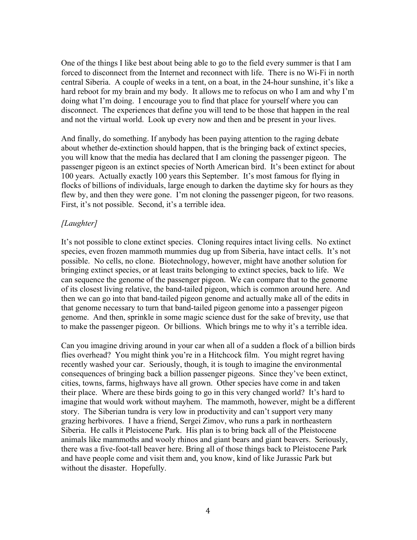One of the things I like best about being able to go to the field every summer is that I am forced to disconnect from the Internet and reconnect with life. There is no Wi-Fi in north central Siberia. A couple of weeks in a tent, on a boat, in the 24-hour sunshine, it's like a hard reboot for my brain and my body. It allows me to refocus on who I am and why I'm doing what I'm doing. I encourage you to find that place for yourself where you can disconnect. The experiences that define you will tend to be those that happen in the real and not the virtual world. Look up every now and then and be present in your lives.

And finally, do something. If anybody has been paying attention to the raging debate about whether de-extinction should happen, that is the bringing back of extinct species, you will know that the media has declared that I am cloning the passenger pigeon. The passenger pigeon is an extinct species of North American bird. It's been extinct for about 100 years. Actually exactly 100 years this September. It's most famous for flying in flocks of billions of individuals, large enough to darken the daytime sky for hours as they flew by, and then they were gone. I'm not cloning the passenger pigeon, for two reasons. First, it's not possible. Second, it's a terrible idea.

# *[Laughter]*

It's not possible to clone extinct species. Cloning requires intact living cells. No extinct species, even frozen mammoth mummies dug up from Siberia, have intact cells. It's not possible. No cells, no clone. Biotechnology, however, might have another solution for bringing extinct species, or at least traits belonging to extinct species, back to life. We can sequence the genome of the passenger pigeon. We can compare that to the genome of its closest living relative, the band-tailed pigeon, which is common around here. And then we can go into that band-tailed pigeon genome and actually make all of the edits in that genome necessary to turn that band-tailed pigeon genome into a passenger pigeon genome. And then, sprinkle in some magic science dust for the sake of brevity, use that to make the passenger pigeon. Or billions. Which brings me to why it's a terrible idea.

Can you imagine driving around in your car when all of a sudden a flock of a billion birds flies overhead? You might think you're in a Hitchcock film. You might regret having recently washed your car. Seriously, though, it is tough to imagine the environmental consequences of bringing back a billion passenger pigeons. Since they've been extinct, cities, towns, farms, highways have all grown. Other species have come in and taken their place. Where are these birds going to go in this very changed world? It's hard to imagine that would work without mayhem. The mammoth, however, might be a different story. The Siberian tundra is very low in productivity and can't support very many grazing herbivores. I have a friend, Sergei Zimov, who runs a park in northeastern Siberia. He calls it Pleistocene Park. His plan is to bring back all of the Pleistocene animals like mammoths and wooly rhinos and giant bears and giant beavers. Seriously, there was a five-foot-tall beaver here. Bring all of those things back to Pleistocene Park and have people come and visit them and, you know, kind of like Jurassic Park but without the disaster. Hopefully.